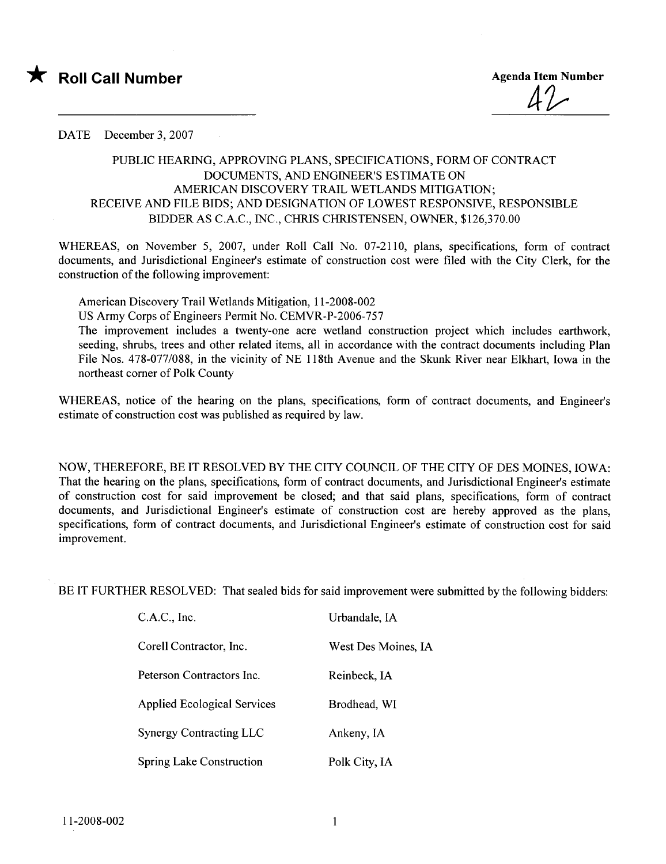

4~

## DATE December 3, 2007

## PUBLIC HEARIG, APPROVING PLANS, SPECIFICATIONS, FORM OF CONTRACT DOCUMENTS, AND ENGINEER'S ESTIMATE ON AMERICAN DISCOVERY TRAIL WETLANDS MITIGATION; RECEIVE AND FILE BIDS; AND DESIGNATION OF LOWEST RESPONSIVE, RESPONSIBLE BIDDER AS C.A.C., INC., CHRIS CHRISTENSEN, OWNER, \$126,370.00

WHEREAS, on November 5, 2007, under Roll Call No. 07-2110, plans, specifications, form of contract documents, and Jurisdictional Engineer's estimate of construction cost were fied with the City Clerk, for the construction of the following improvement:

American Discovery Trail Wetlands Mitigation, 11-2008-002

US Army Corps of Engineers Permit No. CEMVR-P-2006-757

The improvement includes a twenty-one acre wetland construction project which includes earthwork, seeding, shrubs, trees and other related items, all in accordance with the contract documents including Plan File Nos. 478-077/088, in the vicinity of NE I I 8th Avenue and the Skunk River near Elkhart, Iowa in the northeast comer of Polk County

WHEREAS, notice of the hearing on the plans, specifications, form of contract documents, and Engineer's estimate of construction cost was published as required by law.

NOW, THEREFORE, BE IT RESOLVED BY THE CITY COUNCIL OF THE CITY OF DES MOINES, IOWA: That the hearing on the plans, specifications, form of contract documents, and Jurisdictional Engineer's estimate of construction cost for said improvement be closed; and that said plans, specifications, form of contract documents, and Jurisdictional Engineer's estimate of construction cost are hereby approved as the plans, specifications, form of contract documents, and Jurisdictional Engineer's estimate of construction cost for said improvement.

BE IT FURTHER RESOLVED: That sealed bids for said improvement were submitted by the following bidders:

| C.A.C., Inc.                       | Urbandale, IA       |
|------------------------------------|---------------------|
| Corell Contractor, Inc.            | West Des Moines, IA |
| Peterson Contractors Inc.          | Reinbeck, IA        |
| <b>Applied Ecological Services</b> | Brodhead, WI        |
| <b>Synergy Contracting LLC</b>     | Ankeny, IA          |
| <b>Spring Lake Construction</b>    | Polk City, IA       |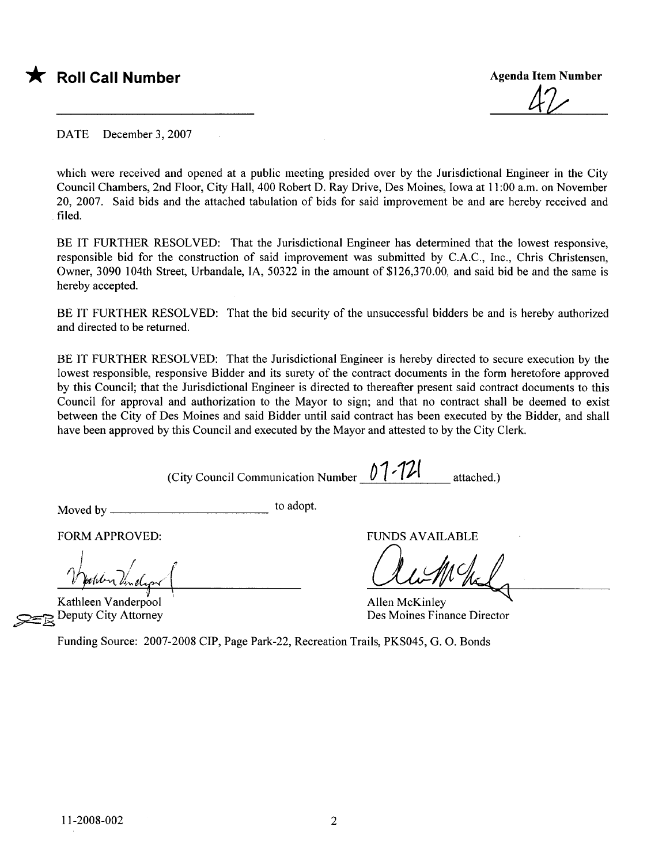

4~

DATE December 3, 2007

which were received and opened at a public meeting presided over by the Jurisdictional Engineer in the City Council Chambers, 2nd Floor, City Hall, 400 Robert D. Ray Drive, Des Moines, Iowa at 11 :00 a.m. on November 20, 2007. Said bids and the attached tabulation of bids for said improvement be and are hereby received and filed.

BE IT FURTHER RESOLVED: That the Jurisdictional Engineer has determined that the lowest responsive, responsible bid for the construction of said improvement was submitted by C.A.C., Inc., Chris Christensen, Owner, 3090 104th Street, Urbandale, lA, 50322 in the amount of \$126,370.00, and said bid be and the same is hereby accepted.

BE IT FURTHER RESOLVED: That the bid security of the unsuccessful bidders be and is hereby authorized and directed to be returned.

BE IT FURTHER RESOLVED: That the Jurisdictional Engineer is hereby directed to secure execution by the lowest responsible, responsive Bidder and its surety of the contract documents in the form heretofore approved by this Council; that the Jurisdictional Engineer is directed to thereafter present said contract documents to this Council for approval and authorization to the Mayor to sign; and that no contract shall be deemed to exist between the City of Des Moines and said Bidder until said contract has been executed by the Bidder, and shall have been approved by this Council and executed by the Mayor and attested to by the City Clerk.

(City Council Communication Number  $\frac{\int_{0}^{1}$  -  $\frac{1}{\ell}$  attached.)

Moved by to adopt.

FORM APPROVED: THE RESERVED OF THE RESERVED OF THE RESERVED OF THE RESERVED OF THE RESERVED OF THE RESERVED OF THE RESERVED OF THE RESERVED OF THE RESERVED OF THE RESERVED OF THE RESERVED OF THE RESERVED OF THE RESERVED OF

Juillet Vendiga de Maria Vendiga de Maria Vendiga de Maria Vendiga de Maria Vendiga de Maria Vendiga de Maria V<br>Allen Vanderpool de Maria Vendiga de Maria Vendiga de Maria Vendiga de Maria Vendiga de Maria Vendiga de Mari<br>  $\ell$  bother linelized

Kathleen Vanderpool

Xathleen Vanderpool<br>
Deputy City Attorney Des Moines Finance Director<br>
Des Moines Finance Director

Funding Source: 2007-2008 CIP, Page Park-22, Recreation Trails, PKS045, G. O. Bonds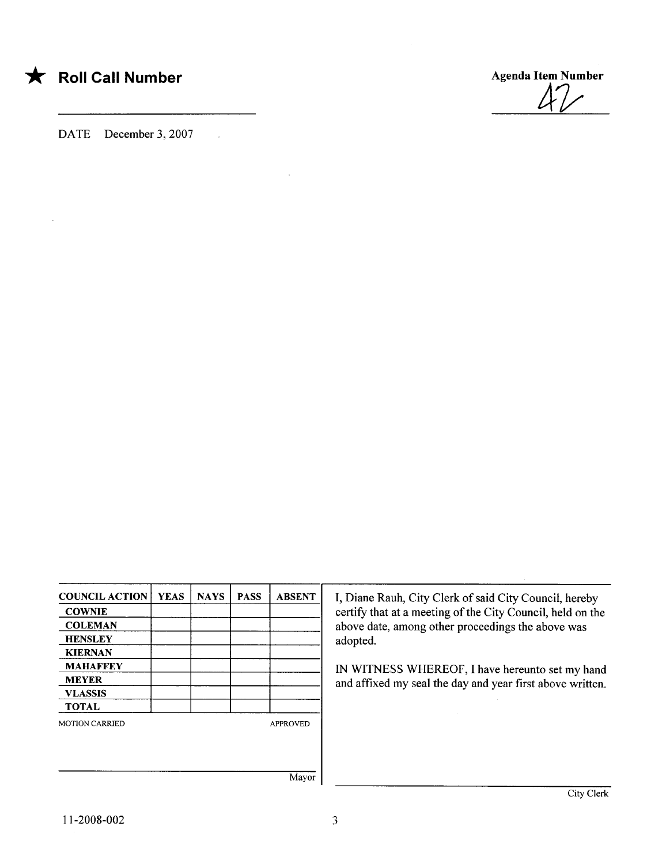## \* Roll Call Number Agenda Item Number

DATE December 3, 2007

 $\mathbb{R}^2$ 



| <b>COUNCIL ACTION</b> | <b>YEAS</b> | <b>NAYS</b> | <b>PASS</b> | <b>ABSENT</b>   |
|-----------------------|-------------|-------------|-------------|-----------------|
| <b>COWNIE</b>         |             |             |             |                 |
| <b>COLEMAN</b>        |             |             |             |                 |
| <b>HENSLEY</b>        |             |             |             |                 |
| <b>KIERNAN</b>        |             |             |             |                 |
| <b>MAHAFFEY</b>       |             |             |             |                 |
| <b>MEYER</b>          |             |             |             |                 |
| <b>VLASSIS</b>        |             |             |             |                 |
| <b>TOTAL</b>          |             |             |             |                 |
| <b>MOTION CARRIED</b> |             |             |             | <b>APPROVED</b> |
|                       |             |             |             |                 |
|                       |             |             |             |                 |
|                       |             |             |             |                 |
|                       |             |             |             |                 |

I, Diane Rauh, City Clerk of said City Council, hereby certify that at a meeting of the City Council, held on the above date, among other proceedings the above was adopted.

IN WITNESS WHEREOF, I have hereunto set my hand and affixed my seal the day and year first above written.

Mayor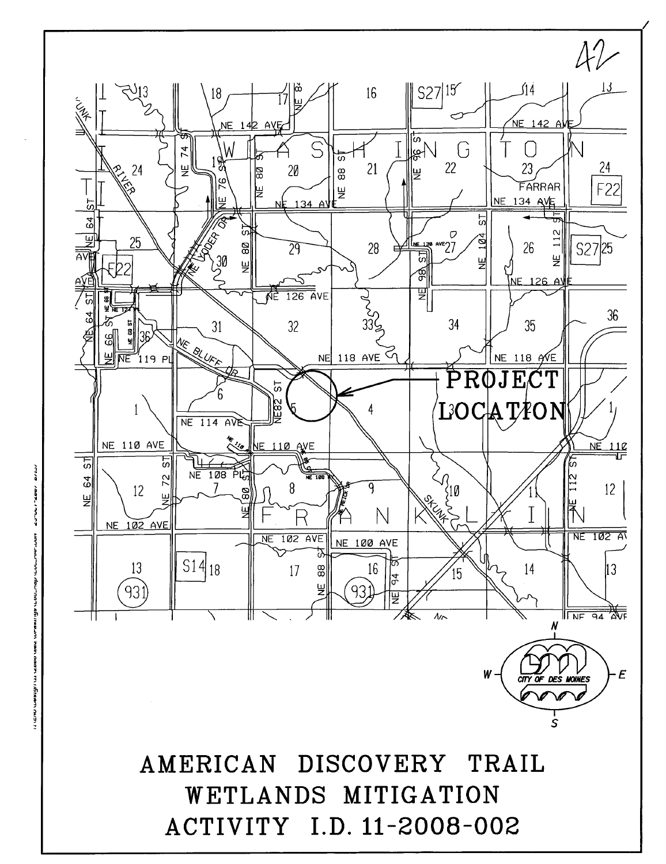

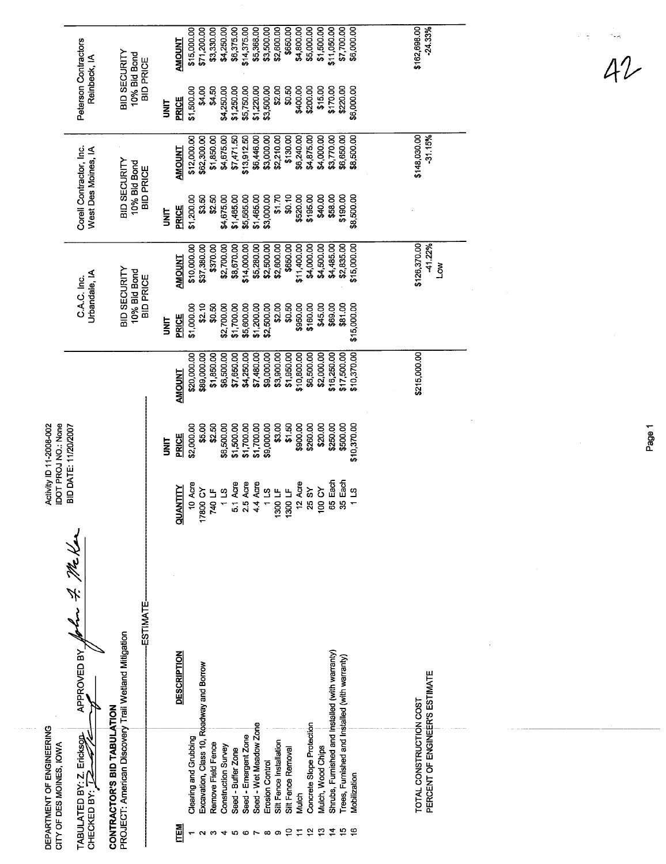|                                                       | Peterson Contractors<br>Reinbeck, IA           | BID SECURITY                                                                        | 10% Bid Bond<br><b>BID PRICE</b> |              | <b>AMOUNT</b>        | \$15,000.00           | \$71,200.00                              | \$3,330.00         | \$4,250.00          | \$6,375.00         | \$14,375.00          | \$5,368.00             | \$3,500.00        | \$2,600.00              | \$650.00           | \$4,800.00  | \$5,000.00                | \$1,500.00          | \$11,050.00                                     | \$7,700.00                                     | \$6,000.00   | \$162,698.00<br>$-24.33%$                                 |   |
|-------------------------------------------------------|------------------------------------------------|-------------------------------------------------------------------------------------|----------------------------------|--------------|----------------------|-----------------------|------------------------------------------|--------------------|---------------------|--------------------|----------------------|------------------------|-------------------|-------------------------|--------------------|-------------|---------------------------|---------------------|-------------------------------------------------|------------------------------------------------|--------------|-----------------------------------------------------------|---|
|                                                       |                                                |                                                                                     |                                  | <b>SMI</b>   | PRICE                | \$1,500.00            | \$4.00                                   | \$4.50             | \$4,250.00          | \$1,250.00         | \$5,750.00           | \$1,220.00             | \$3,500.00        | \$2.00                  | \$0.50             | \$400.00    | \$200.00                  | \$15.00             | \$170.00                                        | \$220.00                                       | \$6,000.00   |                                                           |   |
|                                                       |                                                |                                                                                     |                                  |              | <b>AMOUNT</b>        | \$12,000.00           | \$62,300.00                              | \$1,850.00         | \$4,675.00          | \$7,471.50         | \$13,912.50          | \$6,446.00             | \$3,000.00        | \$2,210.00              | \$130.00           | \$6,240.00  | \$4,875.00                | \$4,000.00          | \$3,770.00                                      | \$6,650.00                                     | \$8,500.00   | \$148,030.00<br>$-31.15%$                                 |   |
|                                                       | Corell Contractor, Inc.<br>West Des Moines, IA | BID SECURITY                                                                        | 10% Bid Bond<br><b>BID PRICE</b> | <b>UNIT</b>  | <b>PRICE</b>         | \$1,200.00            | \$3.50                                   | \$2.50             | \$4,675.00          | \$1,465.00         | \$5,565.00           | \$1,465.00             | \$3,000.00        | \$1.70                  | \$0.10             | \$520.00    | \$195.00                  | \$40.00             | \$58.00                                         | \$190.00                                       | \$8,500.00   |                                                           |   |
|                                                       |                                                |                                                                                     |                                  |              | <b>AMOUNT</b>        | \$10,000.00           | \$37,380.00                              | \$370.00           | \$2,700.00          | \$8,670.00         | \$14,000.00          | \$5,280.00             | \$2,500.00        | \$2,600.00              | \$850.00           | \$11,400.00 | \$4,000.00                | \$4,500.00          | \$4,485.00                                      | \$2,835.00                                     | \$15,000.00  | \$126,370.00<br>-41.22%                                   | Š |
|                                                       | Urbandale, IA<br>C.A.C. Inc.                   | BID SECURITY                                                                        | 10% Bid Bond<br><b>BID PRICE</b> | <b>TINIT</b> | <b>PRICE</b>         | \$1,000.00            | \$2.10                                   | \$0.50             | \$2,700.00          | \$1,700.00         | \$5,600.00           | \$1,200.00             | \$2,500.00        | \$2.00                  | \$0.50             | \$950.00    | \$160.00                  | \$45.00             | \$69.00                                         | \$81.00                                        | \$15,000.00  |                                                           |   |
|                                                       |                                                |                                                                                     |                                  |              | <b>AMOUNT</b>        | \$20,000.00           | \$89,000.00                              | \$1,850.00         | \$6,500.00          | \$7,650.00         | \$4,250.00           | \$7,480.00             | \$9,000.00        | \$3,900.00              | \$1,950.00         | \$10,800.00 | \$6,500.00                | \$2,000.00          | \$16,250.00                                     | \$17,500.00                                    | \$10,370.00  | \$215,000.00                                              |   |
| IDOT PROJ NO.: None<br>Activity ID 11-2008-002        | <b>BID DATE: 11/20/2007</b>                    |                                                                                     |                                  |              | PRICE<br><b>TIKU</b> | \$2,000.00            | \$5.00                                   | \$2.50             | \$6,500.00          | \$1,500.00         | \$1,700.00           | \$1,700.00             | \$9,000.00        | \$3.00                  | \$1.50             | \$900.00    | \$260.00                  | \$20.00             | \$250.00                                        | \$500.00                                       | \$10,370.00  |                                                           |   |
|                                                       |                                                |                                                                                     |                                  |              | <b>QUANTITY</b>      | 10 Acre               | 17800 CY                                 | ے<br><b>740</b> I  | 211                 | 5.1 Acre           | 2.5 Acre             | 4.4 Acre               | $1300 \text{ LF}$ |                         | 1300 LF            | 12 Acre     | 25 SY                     | δ<br>$\overline{8}$ | Each<br>8                                       | Each<br>33                                     | s<br>1       |                                                           |   |
|                                                       | ダイ みだん<br>APPROVED BY                          |                                                                                     | ESTIMATE-                        |              | <b>DESCRIPTION</b>   |                       |                                          |                    |                     |                    |                      |                        |                   |                         |                    |             |                           |                     |                                                 |                                                |              |                                                           |   |
| DEPARTMENT OF ENGINEERING<br>CITY OF DES MOINES, IOWA | TABULATED BY: Z. Ericksgr<br>CHECKED BY: 72    | PROJECT: American Discovery Trail Wetland Mitigation<br>CONTRACTOR'S BID TABULATION |                                  |              |                      | Clearing and Grubbing | Excavation, Class 10, Roadway and Borrow | Remove Field Fence | Construction Survey | Seed - Buffer Zone | Seed - Emergent Zone | Seed - Wet Meadow Zone | Erosion Control   | Sitt Fence Installation | Silt Fence Removal | Mulch       | Concrete Slope Protection | Mulch, Wood Chips   | Shrubs, Furnished and Installed (with warranty) | Trees, Furnished and Installed (with warranty) | Mobilization | PERCENT OF ENGINEER'S ESTIMATE<br>TOTAL CONSTRUCTION COST |   |
|                                                       |                                                |                                                                                     |                                  |              | <b>TEM</b>           |                       |                                          |                    |                     | ю                  | ω                    |                        | $\infty$          | ာ                       |                    |             |                           |                     |                                                 |                                                |              |                                                           |   |

 $42$ 

Page 1

 $\hat{\mathcal{A}}$ 

 $\hat{\mathcal{A}}$